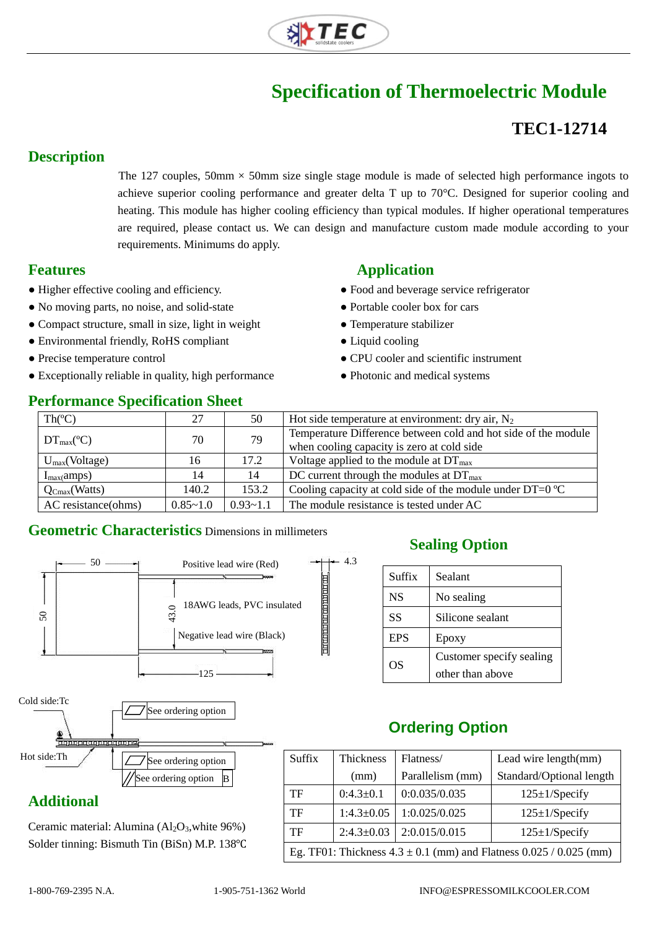

# **Specification of Thermoelectric Module**

### **TEC1-12714**

#### **Description**

The 127 couples, 50mm  $\times$  50mm size single stage module is made of selected high performance ingots to achieve superior cooling performance and greater delta T up to 70°C. Designed for superior cooling and heating. This module has higher cooling efficiency than typical modules. If higher operational temperatures are required, please contact us. We can design and manufacture custom made module according to your requirements. Minimums do apply.

- Higher effective cooling and efficiency. <br>• Food and beverage service refrigerator
- No moving parts, no noise, and solid-state Portable cooler box for cars
- Compact structure, small in size, light in weight **•** Temperature stabilizer
- Environmental friendly, RoHS compliant Liquid cooling
- 
- Exceptionally reliable in quality, high performance Photonic and medical systems

#### **Performance Specification Sheet**

#### **Features Application**

- 
- 
- 
- 
- Precise temperature control CPU cooler and scientific instrument
	-

| <u>VIIVIMMMIDU DIVUULIUMVIDIL DIIUUU</u> |              |              |                                                                |  |  |
|------------------------------------------|--------------|--------------|----------------------------------------------------------------|--|--|
| $Th(^{\circ}C)$                          | 27           | 50           | Hot side temperature at environment: dry air, $N_2$            |  |  |
| $DT_{\text{max}}(^{\circ}C)$             | 70           | 79           | Temperature Difference between cold and hot side of the module |  |  |
|                                          |              |              | when cooling capacity is zero at cold side                     |  |  |
| $U_{max}(Voltage)$                       | 16           | 17.2         | Voltage applied to the module at $DT_{\text{max}}$             |  |  |
| $I_{max}(amps)$                          | 14           | 14           | DC current through the modules at $DT_{\text{max}}$            |  |  |
| $Q_{Cmax}(Watts)$                        | 140.2        | 153.2        | Cooling capacity at cold side of the module under $DT=0$ °C    |  |  |
| AC resistance(ohms)                      | $0.85 - 1.0$ | $0.93 - 1.1$ | The module resistance is tested under AC                       |  |  |

 $-4.3$ 

#### **Geometric Characteristics** Dimensions in millimeters



#### **Additional**

Ceramic material: Alumina  $(A<sub>2</sub>O<sub>3</sub>)$ , white 96%) Solder tinning: Bismuth Tin (BiSn) M.P. 138℃

#### **Sealing Option**

| Suffix     | Sealant                  |  |
|------------|--------------------------|--|
| <b>NS</b>  | No sealing               |  |
| <b>SS</b>  | Silicone sealant         |  |
| <b>EPS</b> | Epoxy                    |  |
| OS         | Customer specify sealing |  |
|            | other than above         |  |

#### **Ordering Option**

| Suffix                                                                   | Thickness      | Flatness/        | Lead wire length(mm)     |  |  |
|--------------------------------------------------------------------------|----------------|------------------|--------------------------|--|--|
|                                                                          | (mm)           | Parallelism (mm) | Standard/Optional length |  |  |
| TF                                                                       | $0:4.3\pm0.1$  | 0:0.035/0.035    | $125 \pm 1$ /Specify     |  |  |
| TF                                                                       | $1:4.3\pm0.05$ | 1:0.025/0.025    | $125 \pm 1$ /Specify     |  |  |
| TF                                                                       | $2:4.3\pm0.03$ | 2:0.015/0.015    | $125 \pm 1$ /Specify     |  |  |
| Eg. TF01: Thickness $4.3 \pm 0.1$ (mm) and Flatness $0.025 / 0.025$ (mm) |                |                  |                          |  |  |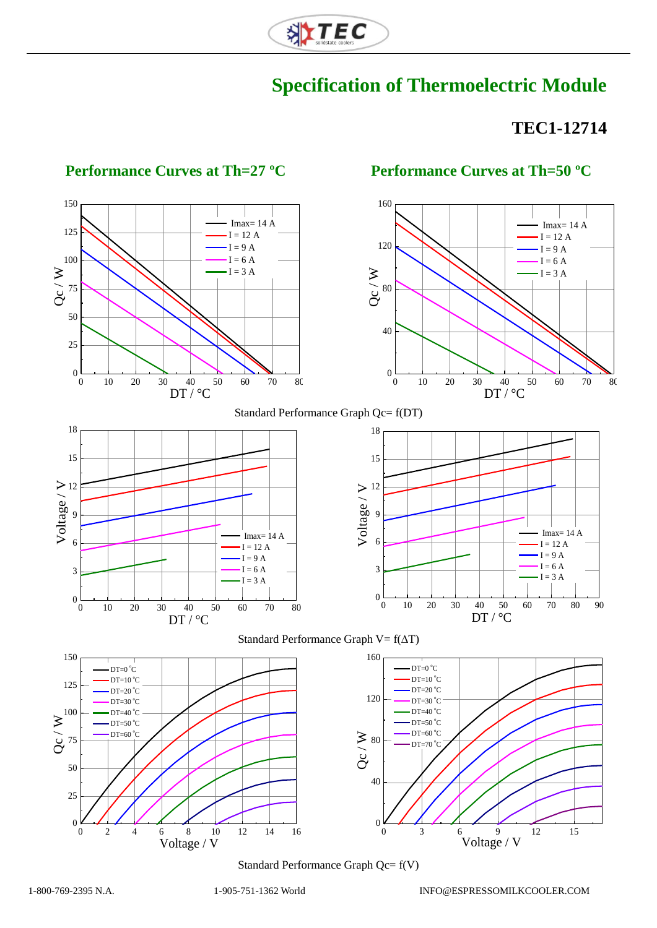

## **Specification of Thermoelectric Module**

## **TEC1-12714**



#### **Performance Curves at Th=27 ºC Performance Curves at Th=50 ºC**